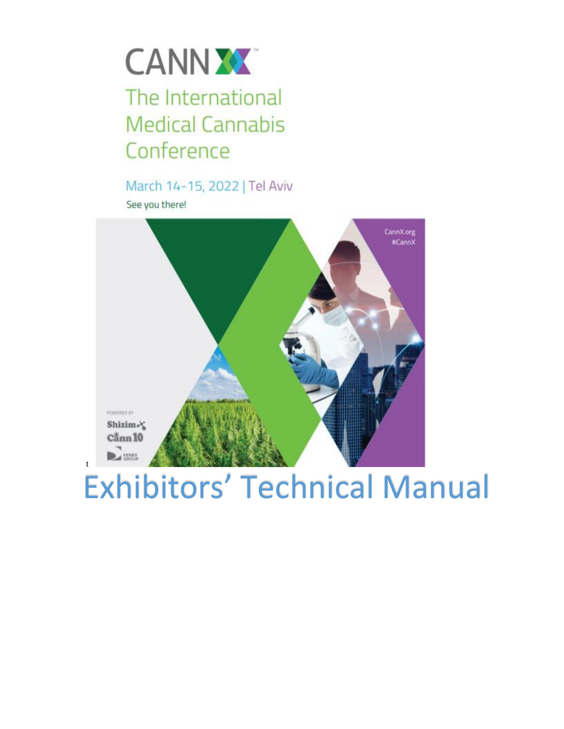

# The International **Medical Cannabis** Conference

March 14-15, 2022 | Tel Aviv See you there!

t



# Exhibitors' Technical Manual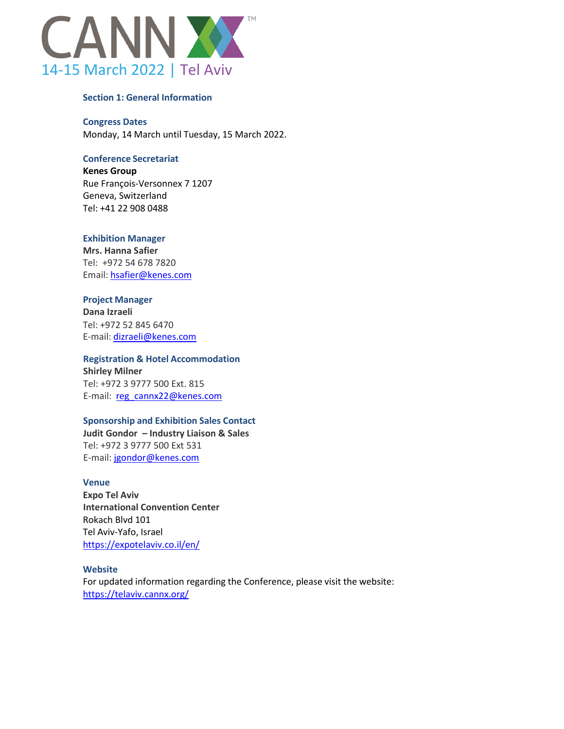

#### **Section 1: General Information**

#### **Congress Dates**

Monday, 14 March until Tuesday, 15 March 2022.

# **Conference Secretariat**

**Kenes Group** Rue François-Versonnex 7 1207 Geneva, Switzerland Tel: +41 22 908 0488

#### **Exhibition Manager**

**Mrs. Hanna Safier** Tel: +972 54 678 7820 Email: [hsafier@kenes.com](mailto:hsafier@kenes.com)

#### **Project Manager**

**Dana Izraeli** Tel: +972 52 845 6470 E-mail: [dizraeli@kenes.com](mailto:dizraeli@kenes.com)

# **Registration & Hotel Accommodation**

**Shirley Milner** Tel: +972 3 9777 500 Ext. 815 E-mail: reg\_cannx22@kenes.com

#### **Sponsorship and Exhibition Sales Contact**

**Judit Gondor – Industry Liaison & Sales** Tel: +972 3 9777 500 Ext 531 E-mail: [jgondor@kenes.com](https://telaviv.cannx.org/online-prospectus/jgondor@kenes.com)

#### **Venue**

**Expo Tel Aviv International Convention Center** Rokach Blvd 101 Tel Aviv-Yafo, Israel <https://expotelaviv.co.il/en/>

#### **Website**

For updated information regarding the Conference, please visit the website: https://telaviv.cannx.org/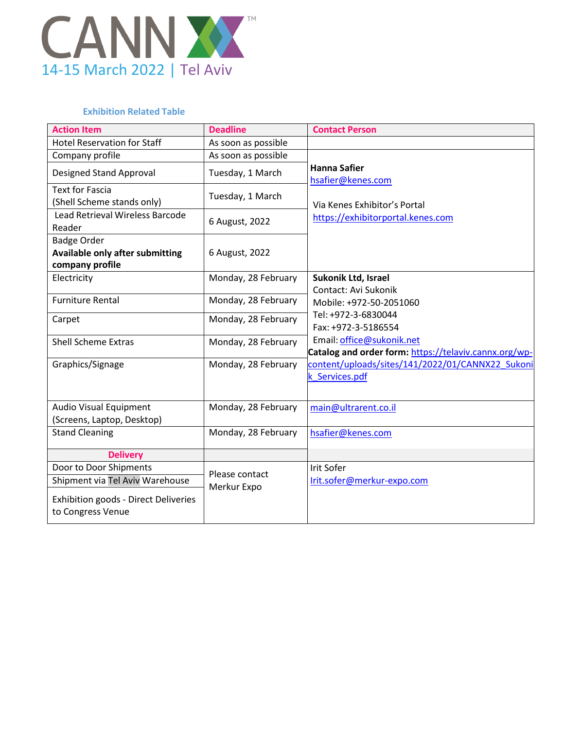

# **Exhibition Related Table**

| <b>Action Item</b>                                               | <b>Deadline</b>     | <b>Contact Person</b>                                 |
|------------------------------------------------------------------|---------------------|-------------------------------------------------------|
| <b>Hotel Reservation for Staff</b>                               | As soon as possible |                                                       |
| Company profile                                                  | As soon as possible |                                                       |
| <b>Designed Stand Approval</b>                                   | Tuesday, 1 March    | <b>Hanna Safier</b><br>hsafier@kenes.com              |
| <b>Text for Fascia</b><br>(Shell Scheme stands only)             | Tuesday, 1 March    | Via Kenes Exhibitor's Portal                          |
| <b>Lead Retrieval Wireless Barcode</b><br>Reader                 | 6 August, 2022      | https://exhibitorportal.kenes.com                     |
| <b>Badge Order</b><br>Available only after submitting            | 6 August, 2022      |                                                       |
| company profile                                                  |                     |                                                       |
| Electricity                                                      | Monday, 28 February | Sukonik Ltd, Israel                                   |
| <b>Furniture Rental</b>                                          | Monday, 28 February | Contact: Avi Sukonik                                  |
|                                                                  |                     | Mobile: +972-50-2051060<br>Tel: +972-3-6830044        |
| Carpet                                                           | Monday, 28 February | Fax: +972-3-5186554                                   |
| <b>Shell Scheme Extras</b>                                       |                     | Email: office@sukonik.net                             |
|                                                                  | Monday, 28 February | Catalog and order form: https://telaviv.cannx.org/wp- |
| Graphics/Signage                                                 | Monday, 28 February | content/uploads/sites/141/2022/01/CANNX22 Sukoni      |
|                                                                  |                     | k Services.pdf                                        |
|                                                                  |                     |                                                       |
| <b>Audio Visual Equipment</b>                                    | Monday, 28 February | main@ultrarent.co.il                                  |
| (Screens, Laptop, Desktop)                                       |                     |                                                       |
| <b>Stand Cleaning</b>                                            | Monday, 28 February | hsafier@kenes.com                                     |
|                                                                  |                     |                                                       |
| <b>Delivery</b>                                                  |                     |                                                       |
| Door to Door Shipments                                           | Please contact      | Irit Sofer                                            |
| Shipment via Tel Aviv Warehouse                                  | Merkur Expo         | Irit.sofer@merkur-expo.com                            |
| <b>Exhibition goods - Direct Deliveries</b><br>to Congress Venue |                     |                                                       |
|                                                                  |                     |                                                       |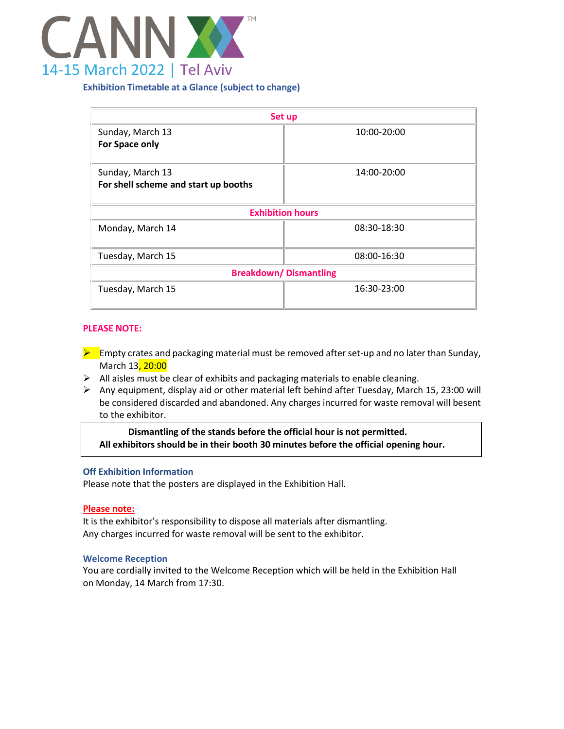

# **Exhibition Timetable at a Glance (subject to change)**

| Set up                               |             |  |
|--------------------------------------|-------------|--|
| Sunday, March 13                     | 10:00-20:00 |  |
| For Space only                       |             |  |
| Sunday, March 13                     | 14:00-20:00 |  |
| For shell scheme and start up booths |             |  |
|                                      |             |  |
| <b>Exhibition hours</b>              |             |  |
| Monday, March 14                     | 08:30-18:30 |  |
| Tuesday, March 15                    | 08:00-16:30 |  |
| <b>Breakdown/Dismantling</b>         |             |  |
| Tuesday, March 15                    | 16:30-23:00 |  |

#### **PLEASE NOTE:**

- $\blacktriangleright$  Empty crates and packaging material must be removed after set-up and no later than Sunday, March 13, 20:00
- $\triangleright$  All aisles must be clear of exhibits and packaging materials to enable cleaning.
- $\triangleright$  Any equipment, display aid or other material left behind after Tuesday, March 15, 23:00 will be considered discarded and abandoned. Any charges incurred for waste removal will besent to the exhibitor.

**Dismantling of the stands before the official hour is not permitted. All exhibitors should be in their booth 30 minutes before the official opening hour.**

#### **Off Exhibition Information**

Please note that the posters are displayed in the Exhibition Hall.

#### **Please note:**

It is the exhibitor's responsibility to dispose all materials after dismantling. Any charges incurred for waste removal will be sent to the exhibitor.

#### **Welcome Reception**

You are cordially invited to the Welcome Reception which will be held in the Exhibition Hall on Monday, 14 March from 17:30.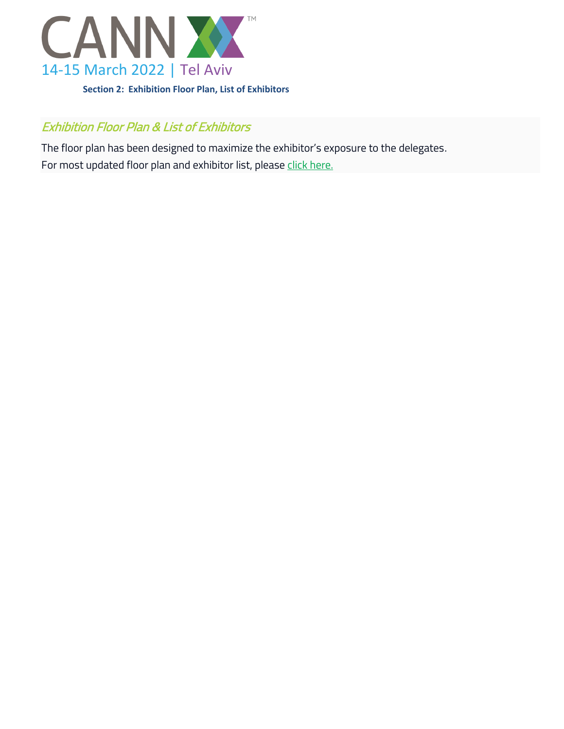

# Exhibition Floor Plan & List of Exhibitors

The floor plan has been designed to maximize the exhibitor's exposure to the delegates. For most updated floor plan and exhibitor list, please [click here.](https://apps.kenes.com/floorplan/#/congress/CannX22)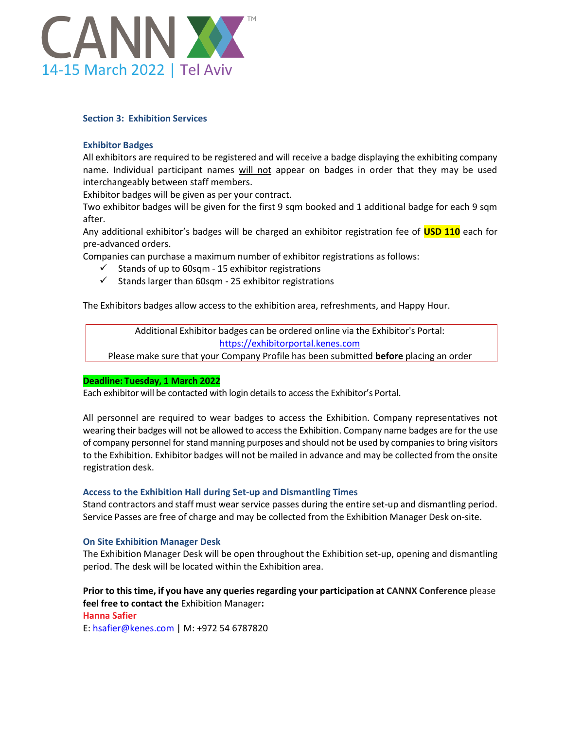

# **Section 3: Exhibition Services**

# **Exhibitor Badges**

All exhibitors are required to be registered and will receive a badge displaying the exhibiting company name. Individual participant names will not appear on badges in order that they may be used interchangeably between staff members.

Exhibitor badges will be given as per your contract.

Two exhibitor badges will be given for the first 9 sqm booked and 1 additional badge for each 9 sqm after.

Any additional exhibitor's badges will be charged an exhibitor registration fee of **USD 110** each for pre-advanced orders.

Companies can purchase a maximum number of exhibitor registrations as follows:

- $\checkmark$  Stands of up to 60sqm 15 exhibitor registrations
- $\checkmark$  Stands larger than 60sqm 25 exhibitor registrations

The Exhibitors badges allow access to the exhibition area, refreshments, and Happy Hour.

Additional Exhibitor badges can be ordered online via the Exhibitor's Portal: [https://exhibitorportal.kenes.com](https://exhibitorportal.kenes.com/)

Please make sure that your Company Profile has been submitted **before** placing an order

#### **Deadline: Tuesday, 1 March 2022**

Each exhibitor will be contacted with login details to access the Exhibitor's Portal.

All personnel are required to wear badges to access the Exhibition. Company representatives not wearing their badges will not be allowed to accessthe Exhibition. Company name badges are for the use of company personnel for stand manning purposes and should not be used by companies to bring visitors to the Exhibition. Exhibitor badges will not be mailed in advance and may be collected from the onsite registration desk.

#### **Access to the Exhibition Hall during Set-up and Dismantling Times**

Stand contractors and staff must wear service passes during the entire set-up and dismantling period. Service Passes are free of charge and may be collected from the Exhibition Manager Desk on-site.

# **On Site Exhibition Manager Desk**

The Exhibition Manager Desk will be open throughout the Exhibition set-up, opening and dismantling period. The desk will be located within the Exhibition area.

# **Prior to this time, if you have any queriesregarding your participation at CANNX Conference** please **feel free to contact the** Exhibition Manager**:**

#### **Hanna Safier**

E: [hsafier@kenes.com](mailto:hsafier@kenes.com) | M: +972 54 6787820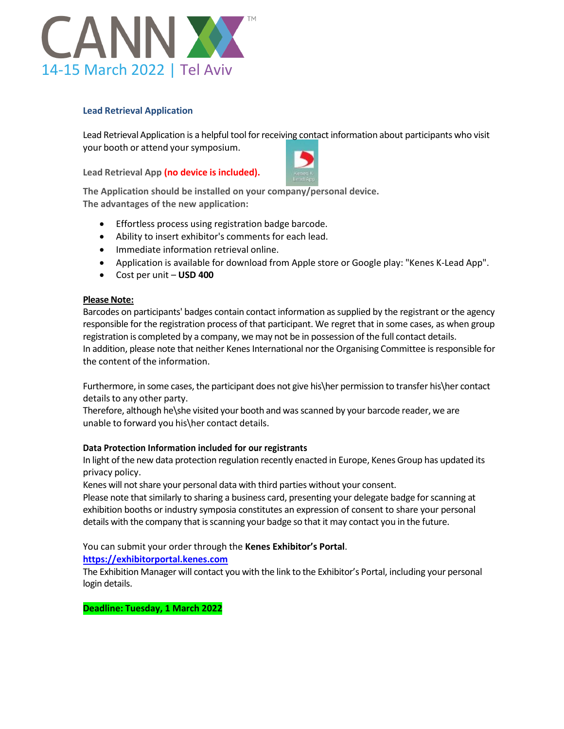

# **Lead Retrieval Application**

Lead Retrieval Application is a helpful tool for receiving contact information about participants who visit your booth or attend your symposium.

**Lead Retrieval App (no device is included).**



**The Application should be installed on your company/personal device. The advantages of the new application:**

- Effortless process using registration badge barcode.
- Ability to insert exhibitor's comments for each lead.
- Immediate information retrieval online.
- Application is available for download from Apple store or Google play: "Kenes K-Lead App".
- Cost per unit **USD 400**

#### **Please Note:**

Barcodes on participants' badges contain contact information assupplied by the registrant or the agency responsible for the registration process of that participant. We regret that in some cases, as when group registration is completed by a company, we may not be in possession of the full contact details. In addition, please note that neither Kenes International nor the Organising Committee is responsible for the content of the information.

Furthermore, in some cases, the participant does not give his\her permission to transfer his\her contact details to any other party.

Therefore, although he\she visited your booth and was scanned by your barcode reader, we are unable to forward you his\her contact details.

# **Data Protection Information included for our registrants**

In light of the new data protection regulation recently enacted in Europe, Kenes Group has updated its privacy policy.

Kenes will not share your personal data with third parties without your consent.

Please note that similarly to sharing a business card, presenting your delegate badge for scanning at exhibition booths or industry symposia constitutes an expression of consent to share your personal details with the company that is scanning your badge so that it may contact you in the future.

# You can submit your order through the **Kenes Exhibitor's Portal**.

# **[https://exhibitorportal.kenes.com](https://exhibitorportal.kenes.com/)**

The Exhibition Manager will contact you with the link to the Exhibitor's Portal, including your personal login details.

**Deadline: Tuesday, 1 March 2022**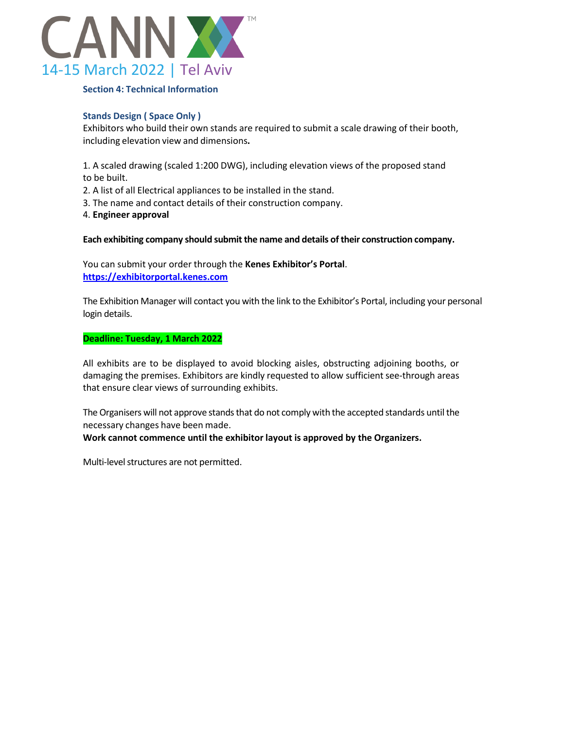

#### **Section 4: Technical Information**

# **Stands Design ( Space Only )**

Exhibitors who build their own stands are required to submit a scale drawing of their booth, including elevation view and dimensions**.**

1. A scaled drawing (scaled 1:200 DWG), including elevation views of the proposed stand to be built.

- 2. A list of all Electrical appliances to be installed in the stand.
- 3. The name and contact details of their construction company.
- 4. **Engineer approval**

**Each exhibiting company should submit the name and details oftheir construction company.**

You can submit your order through the **Kenes Exhibitor's Portal**. **[https://exhibitorportal.kenes.com](https://exhibitorportal.kenes.com/)**

The Exhibition Manager will contact you with the link to the Exhibitor's Portal, including your personal login details.

#### **Deadline: Tuesday, 1 March 2022**

All exhibits are to be displayed to avoid blocking aisles, obstructing adjoining booths, or damaging the premises. Exhibitors are kindly requested to allow sufficient see-through areas that ensure clear views of surrounding exhibits.

The Organisers will not approve stands that do not comply with the accepted standards until the necessary changes have been made.

# **Work cannot commence until the exhibitor layout is approved by the Organizers.**

Multi-level structures are not permitted.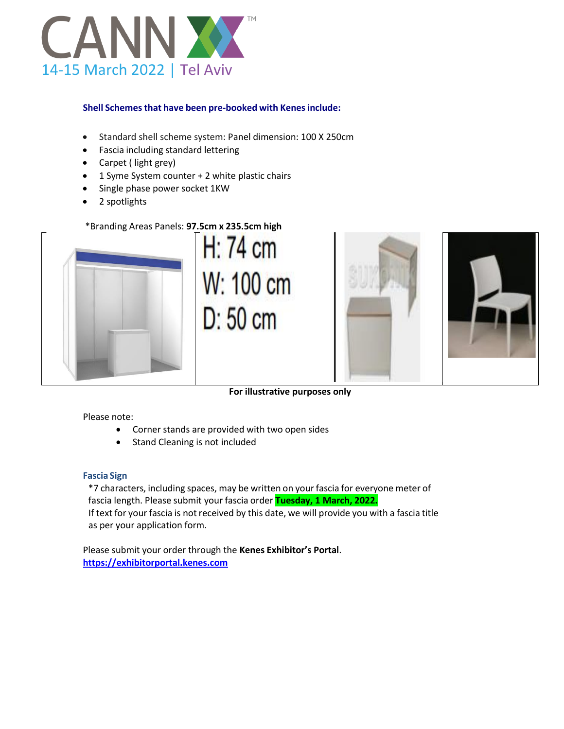

# **Shell Schemesthat have been pre-booked with Kenesinclude:**

- Standard shell scheme system: Panel dimension: 100 X 250cm
- Fascia including standard lettering
- $\bullet$  Carpet (light grey)
- 1 Syme System counter + 2 white plastic chairs
- Single phase power socket 1KW
- 2 spotlights

# \*Branding Areas Panels: **97.5cm x 235.5cm high**







**For illustrative purposes only**

# Please note:

- Corner stands are provided with two open sides
- Stand Cleaning is not included

# **Fascia Sign**

\*7 characters, including spaces, may be written on yourfascia for everyone meter of fascia length. Please submit your fascia order **Tuesday, 1 March, 2022.** If text for your fascia is not received by this date, we will provide you with a fascia title as per your application form.

Please submit your order through the **Kenes Exhibitor's Portal**. **[https://exhibitorportal.kenes.com](https://exhibitorportal.kenes.com/)**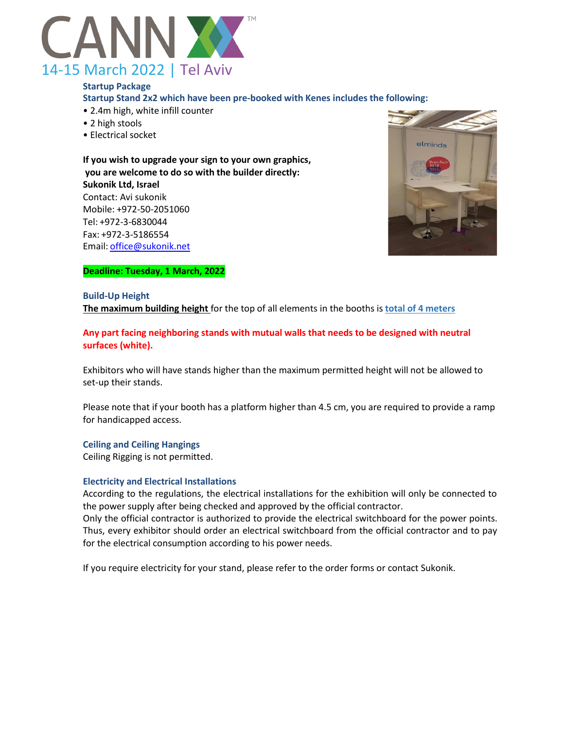

**Startup Package Startup Stand 2x2 which have been pre-booked with Kenes includes the following:** • 2.4m high, white infill counter

- 2 high stools
- Electrical socket

**If you wish to upgrade your sign to your own graphics, you are welcome to do so with the builder directly: Sukonik Ltd, Israel** Contact: Avi sukonik Mobile: +972-50-2051060 Tel: +972-3-6830044 Fax: +972-3-5186554 Email: [office@sukonik.net](mailto:office@sukonik.net)



# **Deadline: Tuesday, 1 March, 2022**

#### **Build-Up Height**

**The maximum building height** for the top of all elements in the booths is **total of 4 meters**

**Any part facing neighboring stands with mutual walls that needs to be designed with neutral surfaces (white).**

Exhibitors who will have stands higher than the maximum permitted height will not be allowed to set-up their stands.

Please note that if your booth has a platform higher than 4.5 cm, you are required to provide a ramp for handicapped access.

**Ceiling and Ceiling Hangings**

Ceiling Rigging is not permitted.

#### **Electricity and Electrical Installations**

According to the regulations, the electrical installations for the exhibition will only be connected to the power supply after being checked and approved by the official contractor.

Only the official contractor is authorized to provide the electrical switchboard for the power points. Thus, every exhibitor should order an electrical switchboard from the official contractor and to pay for the electrical consumption according to his power needs.

If you require electricity for your stand, please refer to the order forms or contact Sukonik.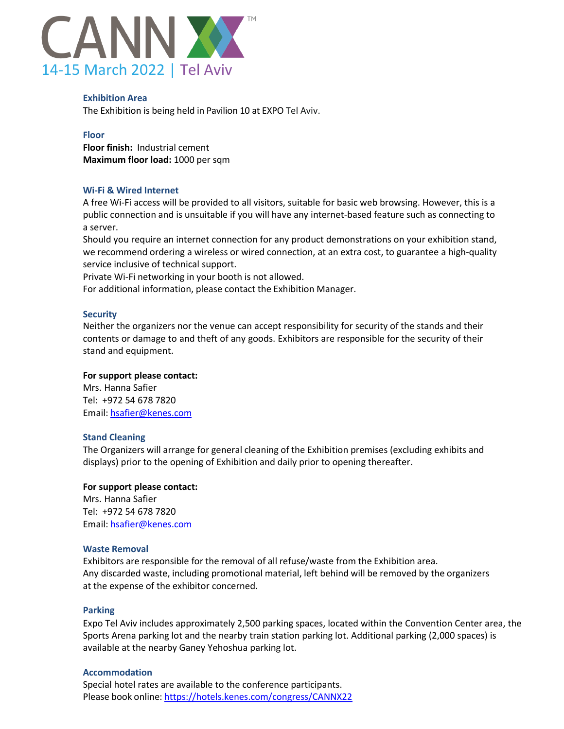

#### **Exhibition Area**

The Exhibition is being held in Pavilion 10 at EXPO Tel Aviv.

#### **Floor**

**Floor finish:** Industrial cement **Maximum floor load:** 1000 per sqm

#### **Wi-Fi & Wired Internet**

A free Wi-Fi access will be provided to all visitors, suitable for basic web browsing. However, this is a public connection and is unsuitable if you will have any internet-based feature such as connecting to a server.

Should you require an internet connection for any product demonstrations on your exhibition stand, we recommend ordering a wireless or wired connection, at an extra cost, to guarantee a high-quality service inclusive of technical support.

Private Wi-Fi networking in your booth is not allowed.

For additional information, please contact the Exhibition Manager.

#### **Security**

Neither the organizers nor the venue can accept responsibility for security of the stands and their contents or damage to and theft of any goods. Exhibitors are responsible for the security of their stand and equipment.

#### **For support please contact:**

Mrs. Hanna Safier Tel: +972 54 678 7820 Email: [hsafier@kenes.com](mailto:hsafier@kenes.com)

#### **Stand Cleaning**

The Organizers will arrange for general cleaning of the Exhibition premises (excluding exhibits and displays) prior to the opening of Exhibition and daily prior to opening thereafter.

# **For support please contact:**

Mrs. Hanna Safier Tel: +972 54 678 7820 Email: [hsafier@kenes.com](mailto:hsafier@kenes.com)

#### **Waste Removal**

Exhibitors are responsible for the removal of all refuse/waste from the Exhibition area. Any discarded waste, including promotional material, left behind will be removed by the organizers at the expense of the exhibitor concerned.

#### **Parking**

Expo Tel Aviv includes approximately 2,500 parking spaces, located within the Convention Center area, the Sports Arena parking lot and the nearby train station parking lot. Additional parking (2,000 spaces) is available at the nearby Ganey Yehoshua parking lot.

#### **Accommodation**

Special hotel rates are available to the conference participants. Please book online: <https://hotels.kenes.com/congress/CANNX22>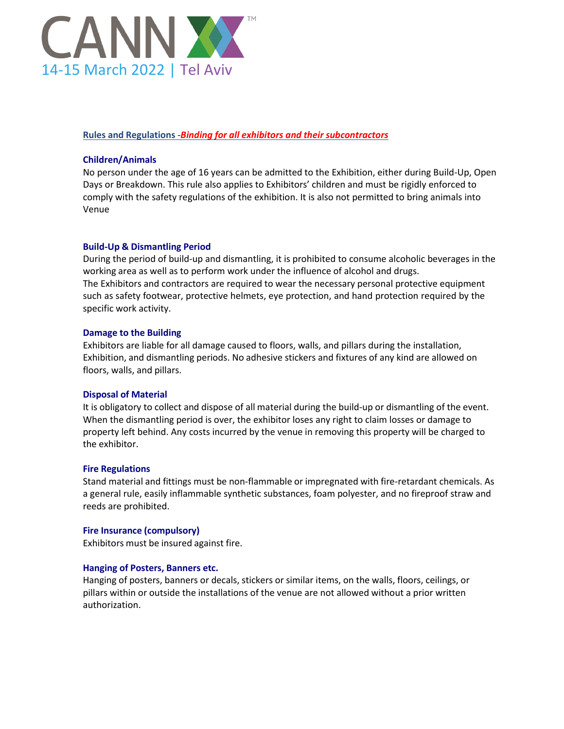

# **Rules and Regulations** -*Binding for all exhibitors and their subcontractors*

# **Children/Animals**

No person under the age of 16 years can be admitted to the Exhibition, either during Build-Up, Open Days or Breakdown. This rule also applies to Exhibitors' children and must be rigidly enforced to comply with the safety regulations of the exhibition. It is also not permitted to bring animals into Venue

# **Build-Up & Dismantling Period**

During the period of build-up and dismantling, it is prohibited to consume alcoholic beverages in the working area as well as to perform work under the influence of alcohol and drugs. The Exhibitors and contractors are required to wear the necessary personal protective equipment such as safety footwear, protective helmets, eye protection, and hand protection required by the specific work activity.

# **Damage to the Building**

Exhibitors are liable for all damage caused to floors, walls, and pillars during the installation, Exhibition, and dismantling periods. No adhesive stickers and fixtures of any kind are allowed on floors, walls, and pillars.

# **Disposal of Material**

It is obligatory to collect and dispose of all material during the build-up or dismantling of the event. When the dismantling period is over, the exhibitor loses any right to claim losses or damage to property left behind. Any costs incurred by the venue in removing this property will be charged to the exhibitor.

# **Fire Regulations**

Stand material and fittings must be non-flammable or impregnated with fire-retardant chemicals. As a general rule, easily inflammable synthetic substances, foam polyester, and no fireproof straw and reeds are prohibited.

# **Fire Insurance (compulsory)**

Exhibitors must be insured against fire.

# **Hanging of Posters, Banners etc.**

Hanging of posters, banners or decals, stickers or similar items, on the walls, floors, ceilings, or pillars within or outside the installations of the venue are not allowed without a prior written authorization.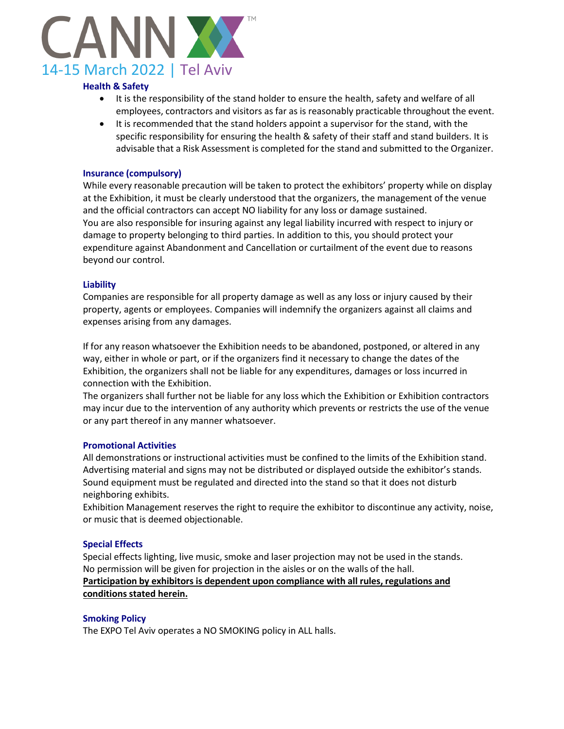

# **Health & Safety**

- It is the responsibility of the stand holder to ensure the health, safety and welfare of all employees, contractors and visitors as far as is reasonably practicable throughout the event.
- It is recommended that the stand holders appoint a supervisor for the stand, with the specific responsibility for ensuring the health & safety of their staff and stand builders. It is advisable that a Risk Assessment is completed for the stand and submitted to the Organizer.

# **Insurance (compulsory)**

While every reasonable precaution will be taken to protect the exhibitors' property while on display at the Exhibition, it must be clearly understood that the organizers, the management of the venue and the official contractors can accept NO liability for any loss or damage sustained. You are also responsible for insuring against any legal liability incurred with respect to injury or damage to property belonging to third parties. In addition to this, you should protect your expenditure against Abandonment and Cancellation or curtailment of the event due to reasons beyond our control.

#### **Liability**

Companies are responsible for all property damage as well as any loss or injury caused by their property, agents or employees. Companies will indemnify the organizers against all claims and expenses arising from any damages.

If for any reason whatsoever the Exhibition needs to be abandoned, postponed, or altered in any way, either in whole or part, or if the organizers find it necessary to change the dates of the Exhibition, the organizers shall not be liable for any expenditures, damages or loss incurred in connection with the Exhibition.

The organizers shall further not be liable for any loss which the Exhibition or Exhibition contractors may incur due to the intervention of any authority which prevents or restricts the use of the venue or any part thereof in any manner whatsoever.

#### **Promotional Activities**

All demonstrations or instructional activities must be confined to the limits of the Exhibition stand. Advertising material and signs may not be distributed or displayed outside the exhibitor's stands. Sound equipment must be regulated and directed into the stand so that it does not disturb neighboring exhibits.

Exhibition Management reserves the right to require the exhibitor to discontinue any activity, noise, or music that is deemed objectionable.

#### **Special Effects**

Special effects lighting, live music, smoke and laser projection may not be used in the stands. No permission will be given for projection in the aisles or on the walls of the hall. **Participation by exhibitors is dependent upon compliance with all rules, regulations and conditions stated herein.**

#### **Smoking Policy**

The EXPO Tel Aviv operates a NO SMOKING policy in ALL halls.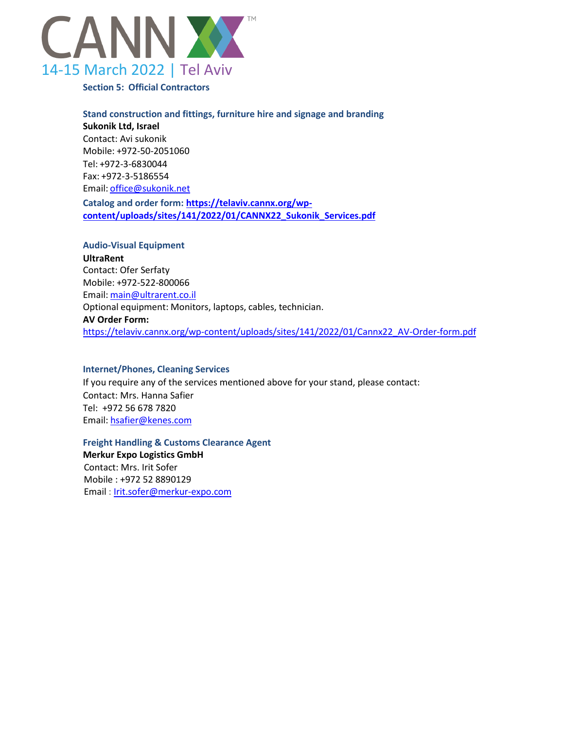

**Section 5: Official Contractors**

**Stand construction and fittings, furniture hire and signage and branding Sukonik Ltd, Israel** Contact: Avi sukonik Mobile: +972-50-2051060 Tel: +972-3-6830044 Fax: +972-3-5186554 Email: [office@sukonik.net](mailto:office@sukonik.net)

**Catalog and order form: [https://telaviv.cannx.org/wp](https://telaviv.cannx.org/wp-content/uploads/sites/141/2022/01/CANNX22_Sukonik_Services.pdf)[content/uploads/sites/141/2022/01/CANNX22\\_Sukonik\\_Services.pdf](https://telaviv.cannx.org/wp-content/uploads/sites/141/2022/01/CANNX22_Sukonik_Services.pdf)**

# **Audio-Visual Equipment**

**UltraRent** Contact: Ofer Serfaty Mobile: +972-522-800066 Email: [main@ultrarent.co.il](mailto:main@ultrarent.co.il) Optional equipment: Monitors, laptops, cables, technician. **AV Order Form:** [https://telaviv.cannx.org/wp-content/uploads/sites/141/2022/01/Cannx22\\_AV-Order-form.pdf](https://telaviv.cannx.org/wp-content/uploads/sites/141/2022/01/Cannx22_AV-Order-form.pdf)

# **Internet/Phones, Cleaning Services**

If you require any of the services mentioned above for your stand, please contact: Contact: Mrs. Hanna Safier Tel: +972 56 678 7820 Email: [hsafier@kenes.com](mailto:hsafier@kenes.com)

**Freight Handling & Customs Clearance Agent Merkur Expo Logistics GmbH** Contact: Mrs. Irit Sofer

 Mobile : +972 52 8890129 Email : [Irit.sofer@merkur-expo.com](mailto:Irit.sofer@merkur-expo.com)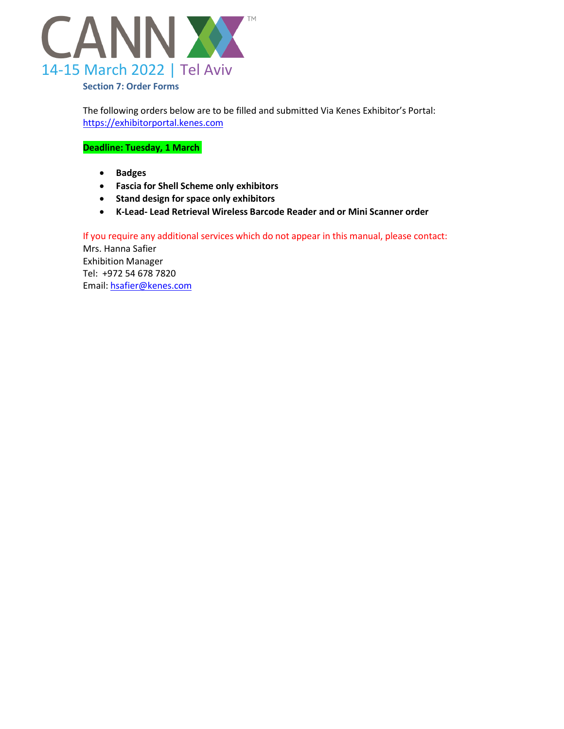

The following orders below are to be filled and submitted Via Kenes Exhibitor's Portal: [https://exhibitorportal.kenes.com](https://exhibitorportal.kenes.com/)

**Deadline: Tuesday, 1 March** 

- **Badges**
- **Fascia for Shell Scheme only exhibitors**
- **Stand design for space only exhibitors**
- **K-Lead- Lead Retrieval Wireless Barcode Reader and or Mini Scanner order**

If you require any additional services which do not appear in this manual, please contact: Mrs. Hanna Safier Exhibition Manager Tel: +972 54 678 7820 Email: [hsafier@kenes.com](mailto:hsafier@kenes.com)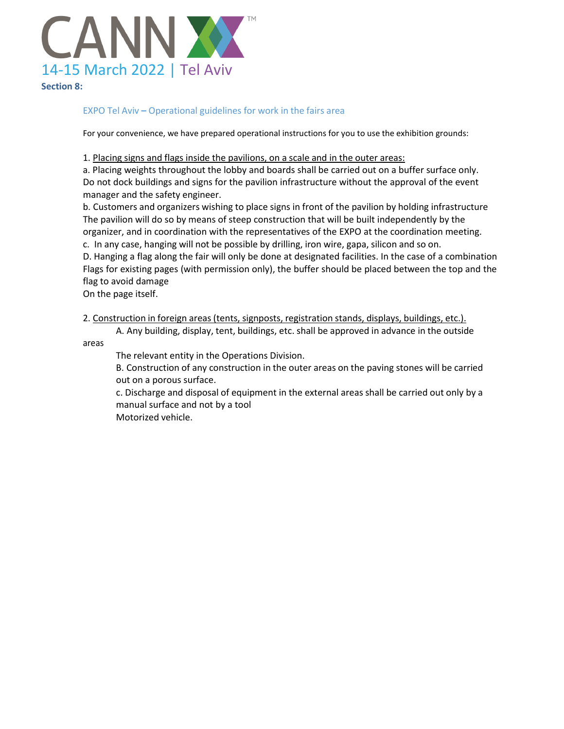

# EXPO Tel Aviv **–** Operational guidelines for work in the fairs area

For your convenience, we have prepared operational instructions for you to use the exhibition grounds:

1. Placing signs and flags inside the pavilions, on a scale and in the outer areas:

a. Placing weights throughout the lobby and boards shall be carried out on a buffer surface only. Do not dock buildings and signs for the pavilion infrastructure without the approval of the event manager and the safety engineer.

b. Customers and organizers wishing to place signs in front of the pavilion by holding infrastructure The pavilion will do so by means of steep construction that will be built independently by the organizer, and in coordination with the representatives of the EXPO at the coordination meeting. c. In any case, hanging will not be possible by drilling, iron wire, gapa, silicon and so on.

D. Hanging a flag along the fair will only be done at designated facilities. In the case of a combination Flags for existing pages (with permission only), the buffer should be placed between the top and the flag to avoid damage

On the page itself.

2. Construction in foreign areas (tents, signposts, registration stands, displays, buildings, etc.).

A. Any building, display, tent, buildings, etc. shall be approved in advance in the outside

areas

The relevant entity in the Operations Division.

B. Construction of any construction in the outer areas on the paving stones will be carried out on a porous surface.

c. Discharge and disposal of equipment in the external areas shall be carried out only by a manual surface and not by a tool

Motorized vehicle.